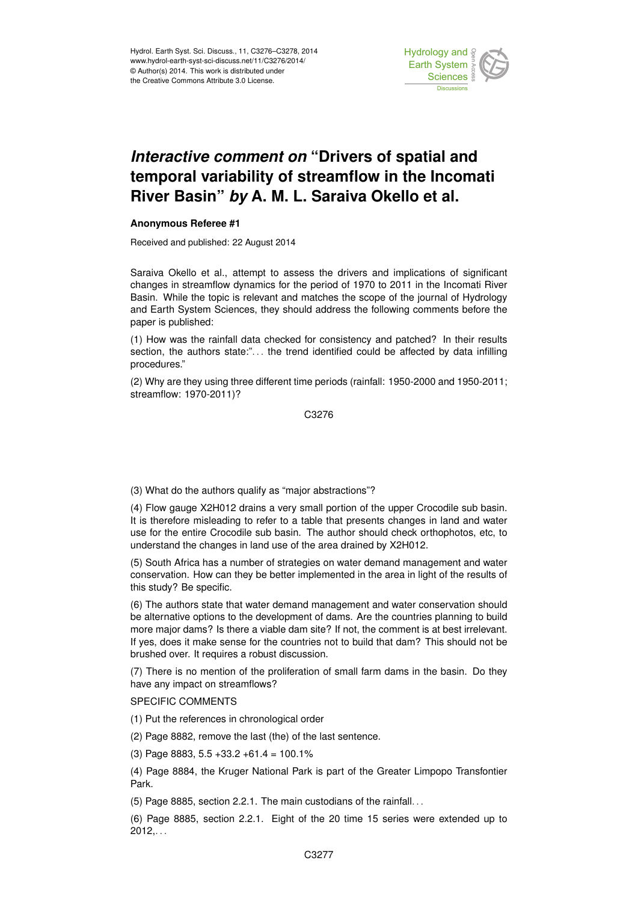

## *Interactive comment on* **"Drivers of spatial and temporal variability of streamflow in the Incomati River Basin"** *by* **A. M. L. Saraiva Okello et al.**

## **Anonymous Referee #1**

Received and published: 22 August 2014

Saraiva Okello et al., attempt to assess the drivers and implications of significant changes in streamflow dynamics for the period of 1970 to 2011 in the Incomati River Basin. While the topic is relevant and matches the scope of the journal of Hydrology and Earth System Sciences, they should address the following comments before the paper is published:

(1) How was the rainfall data checked for consistency and patched? In their results section, the authors state:". . . the trend identified could be affected by data infilling procedures."

(2) Why are they using three different time periods (rainfall: 1950-2000 and 1950-2011; streamflow: 1970-2011)?

C3276

(3) What do the authors qualify as "major abstractions"?

(4) Flow gauge X2H012 drains a very small portion of the upper Crocodile sub basin. It is therefore misleading to refer to a table that presents changes in land and water use for the entire Crocodile sub basin. The author should check orthophotos, etc, to understand the changes in land use of the area drained by X2H012.

(5) South Africa has a number of strategies on water demand management and water conservation. How can they be better implemented in the area in light of the results of this study? Be specific.

(6) The authors state that water demand management and water conservation should be alternative options to the development of dams. Are the countries planning to build more major dams? Is there a viable dam site? If not, the comment is at best irrelevant. If yes, does it make sense for the countries not to build that dam? This should not be brushed over. It requires a robust discussion.

(7) There is no mention of the proliferation of small farm dams in the basin. Do they have any impact on streamflows?

## SPECIFIC COMMENTS

(1) Put the references in chronological order

(2) Page 8882, remove the last (the) of the last sentence.

(3) Page 8883, 5.5 +33.2 +61.4 = 100.1%

(4) Page 8884, the Kruger National Park is part of the Greater Limpopo Transfontier Park.

(5) Page 8885, section 2.2.1. The main custodians of the rainfall. . .

(6) Page 8885, section 2.2.1. Eight of the 20 time 15 series were extended up to  $2012...$